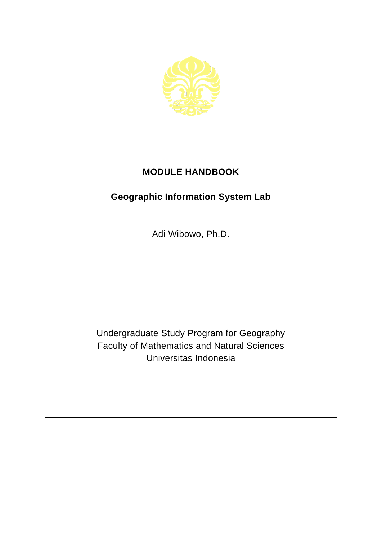

## **MODULE HANDBOOK**

## **Geographic Information System Lab**

Adi Wibowo, Ph.D.

Undergraduate Study Program for Geography Faculty of Mathematics and Natural Sciences Universitas Indonesia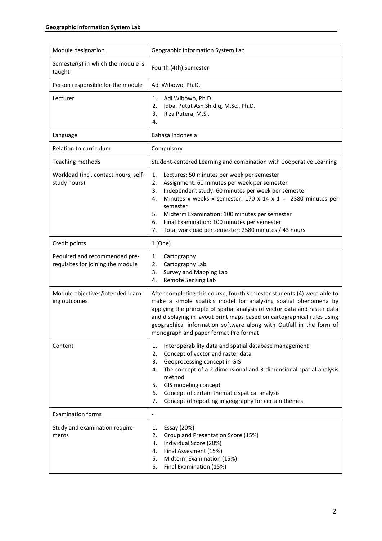| Module designation                                                 | Geographic Information System Lab                                                                                                                                                                                                                                                                                                                                                                                                          |
|--------------------------------------------------------------------|--------------------------------------------------------------------------------------------------------------------------------------------------------------------------------------------------------------------------------------------------------------------------------------------------------------------------------------------------------------------------------------------------------------------------------------------|
| Semester(s) in which the module is<br>taught                       | Fourth (4th) Semester                                                                                                                                                                                                                                                                                                                                                                                                                      |
| Person responsible for the module                                  | Adi Wibowo, Ph.D.                                                                                                                                                                                                                                                                                                                                                                                                                          |
| Lecturer                                                           | Adi Wibowo, Ph.D.<br>1.<br>Iqbal Putut Ash Shidiq, M.Sc., Ph.D.<br>2.<br>Riza Putera, M.Si.<br>3.<br>4.                                                                                                                                                                                                                                                                                                                                    |
| Language                                                           | Bahasa Indonesia                                                                                                                                                                                                                                                                                                                                                                                                                           |
| Relation to curriculum                                             | Compulsory                                                                                                                                                                                                                                                                                                                                                                                                                                 |
| Teaching methods                                                   | Student-centered Learning and combination with Cooperative Learning                                                                                                                                                                                                                                                                                                                                                                        |
| Workload (incl. contact hours, self-<br>study hours)               | Lectures: 50 minutes per week per semester<br>1.<br>Assignment: 60 minutes per week per semester<br>2.<br>Independent study: 60 minutes per week per semester<br>3.<br>Minutes x weeks x semester: $170 \times 14 \times 1 = 2380$ minutes per<br>4.<br>semester<br>5.<br>Midterm Examination: 100 minutes per semester<br>6.<br>Final Examination: 100 minutes per semester<br>Total workload per semester: 2580 minutes / 43 hours<br>7. |
| Credit points                                                      | 1(One)                                                                                                                                                                                                                                                                                                                                                                                                                                     |
| Required and recommended pre-<br>requisites for joining the module | Cartography<br>1.<br>Cartography Lab<br>2.<br>Survey and Mapping Lab<br>3.<br>Remote Sensing Lab<br>4.                                                                                                                                                                                                                                                                                                                                     |
| Module objectives/intended learn-<br>ing outcomes                  | After completing this course, fourth semester students (4) were able to<br>make a simple spatikis model for analyzing spatial phenomena by<br>applying the principle of spatial analysis of vector data and raster data<br>and displaying in layout print maps based on cartographical rules using<br>geographical information software along with Outfall in the form of<br>monograph and paper format Pro format                         |
| Content                                                            | Interoperability data and spatial database management<br>1.<br>Concept of vector and raster data<br>2.<br>Geoprocessing concept in GIS<br>3.<br>The concept of a 2-dimensional and 3-dimensional spatial analysis<br>4.<br>method<br>GIS modeling concept<br>5.<br>Concept of certain thematic spatical analysis<br>6.<br>Concept of reporting in geography for certain themes<br>7.                                                       |
| <b>Examination forms</b>                                           | $\overline{\phantom{0}}$                                                                                                                                                                                                                                                                                                                                                                                                                   |
| Study and examination require-<br>ments                            | Essay (20%)<br>1.<br>Group and Presentation Score (15%)<br>2.<br>Individual Score (20%)<br>3.<br>Final Assesment (15%)<br>4.<br>Midterm Examination (15%)<br>5.<br>Final Examination (15%)<br>6.                                                                                                                                                                                                                                           |